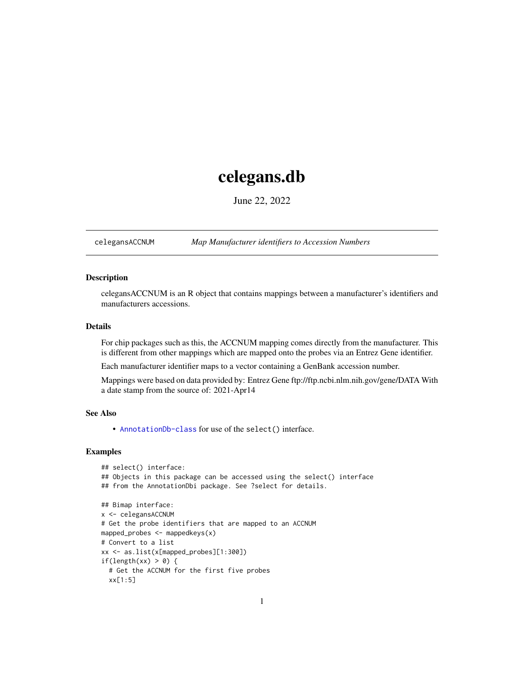## <span id="page-0-1"></span>celegans.db

June 22, 2022

<span id="page-0-0"></span>celegansACCNUM *Map Manufacturer identifiers to Accession Numbers*

## Description

celegansACCNUM is an R object that contains mappings between a manufacturer's identifiers and manufacturers accessions.

## Details

For chip packages such as this, the ACCNUM mapping comes directly from the manufacturer. This is different from other mappings which are mapped onto the probes via an Entrez Gene identifier.

Each manufacturer identifier maps to a vector containing a GenBank accession number.

Mappings were based on data provided by: Entrez Gene ftp://ftp.ncbi.nlm.nih.gov/gene/DATA With a date stamp from the source of: 2021-Apr14

## See Also

• AnnotationDb-class for use of the select() interface.

```
## select() interface:
## Objects in this package can be accessed using the select() interface
## from the AnnotationDbi package. See ?select for details.
## Bimap interface:
x <- celegansACCNUM
# Get the probe identifiers that are mapped to an ACCNUM
mapped_probes <- mappedkeys(x)
# Convert to a list
xx <- as.list(x[mapped_probes][1:300])
if(length(xx) > 0) {
 # Get the ACCNUM for the first five probes
 xx[1:5]
```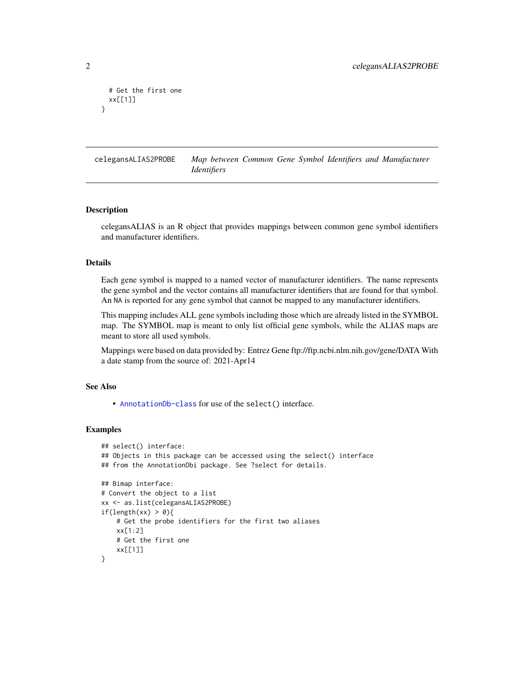```
# Get the first one
 xx[[1]]
}
```
celegansALIAS2PROBE *Map between Common Gene Symbol Identifiers and Manufacturer Identifiers*

#### Description

celegansALIAS is an R object that provides mappings between common gene symbol identifiers and manufacturer identifiers.

## Details

Each gene symbol is mapped to a named vector of manufacturer identifiers. The name represents the gene symbol and the vector contains all manufacturer identifiers that are found for that symbol. An NA is reported for any gene symbol that cannot be mapped to any manufacturer identifiers.

This mapping includes ALL gene symbols including those which are already listed in the SYMBOL map. The SYMBOL map is meant to only list official gene symbols, while the ALIAS maps are meant to store all used symbols.

Mappings were based on data provided by: Entrez Gene ftp://ftp.ncbi.nlm.nih.gov/gene/DATA With a date stamp from the source of: 2021-Apr14

## See Also

• [AnnotationDb-class](#page-0-0) for use of the select() interface.

```
## select() interface:
## Objects in this package can be accessed using the select() interface
## from the AnnotationDbi package. See ?select for details.
## Bimap interface:
# Convert the object to a list
xx <- as.list(celegansALIAS2PROBE)
if(length(xx) > 0){
    # Get the probe identifiers for the first two aliases
   xx[1:2]
   # Get the first one
   xx[[1]]
}
```
<span id="page-1-0"></span>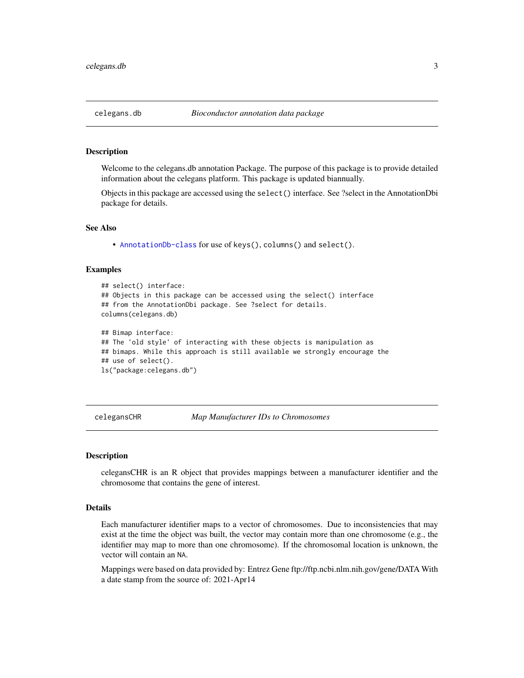<span id="page-2-0"></span>Welcome to the celegans.db annotation Package. The purpose of this package is to provide detailed information about the celegans platform. This package is updated biannually.

Objects in this package are accessed using the select() interface. See ?select in the AnnotationDbi package for details.

#### See Also

• [AnnotationDb-class](#page-0-0) for use of keys(), columns() and select().

#### Examples

```
## select() interface:
## Objects in this package can be accessed using the select() interface
## from the AnnotationDbi package. See ?select for details.
columns(celegans.db)
## Bimap interface:
## The 'old style' of interacting with these objects is manipulation as
## bimaps. While this approach is still available we strongly encourage the
## use of select().
ls("package:celegans.db")
```
celegansCHR *Map Manufacturer IDs to Chromosomes*

#### **Description**

celegansCHR is an R object that provides mappings between a manufacturer identifier and the chromosome that contains the gene of interest.

## Details

Each manufacturer identifier maps to a vector of chromosomes. Due to inconsistencies that may exist at the time the object was built, the vector may contain more than one chromosome (e.g., the identifier may map to more than one chromosome). If the chromosomal location is unknown, the vector will contain an NA.

Mappings were based on data provided by: Entrez Gene ftp://ftp.ncbi.nlm.nih.gov/gene/DATA With a date stamp from the source of: 2021-Apr14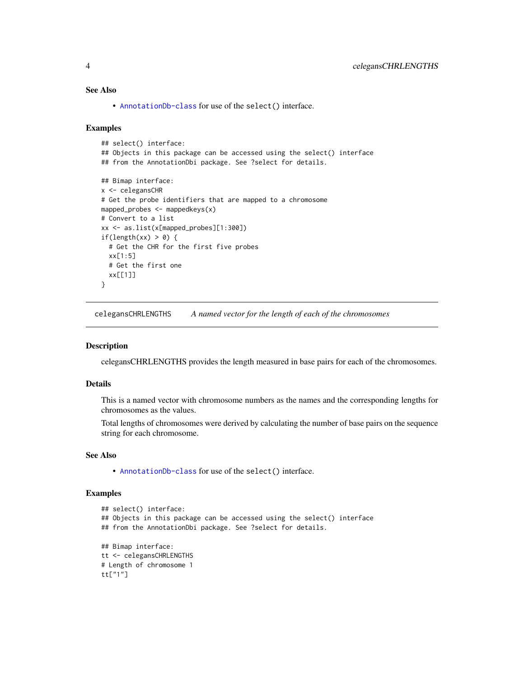## See Also

• [AnnotationDb-class](#page-0-0) for use of the select() interface.

#### Examples

```
## select() interface:
## Objects in this package can be accessed using the select() interface
## from the AnnotationDbi package. See ?select for details.
## Bimap interface:
x <- celegansCHR
# Get the probe identifiers that are mapped to a chromosome
mapped_probes <- mappedkeys(x)
# Convert to a list
xx <- as.list(x[mapped_probes][1:300])
if(length(xx) > 0) {
  # Get the CHR for the first five probes
  xx[1:5]
  # Get the first one
  xx[[1]]
}
```
celegansCHRLENGTHS *A named vector for the length of each of the chromosomes*

#### Description

celegansCHRLENGTHS provides the length measured in base pairs for each of the chromosomes.

#### Details

This is a named vector with chromosome numbers as the names and the corresponding lengths for chromosomes as the values.

Total lengths of chromosomes were derived by calculating the number of base pairs on the sequence string for each chromosome.

## See Also

• [AnnotationDb-class](#page-0-0) for use of the select() interface.

```
## select() interface:
## Objects in this package can be accessed using the select() interface
## from the AnnotationDbi package. See ?select for details.
## Bimap interface:
tt <- celegansCHRLENGTHS
# Length of chromosome 1
tt["1"]
```
<span id="page-3-0"></span>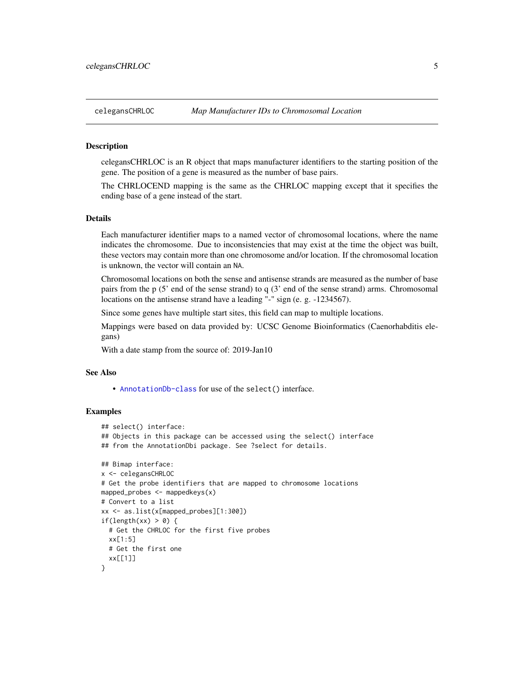<span id="page-4-0"></span>celegansCHRLOC is an R object that maps manufacturer identifiers to the starting position of the gene. The position of a gene is measured as the number of base pairs.

The CHRLOCEND mapping is the same as the CHRLOC mapping except that it specifies the ending base of a gene instead of the start.

#### Details

Each manufacturer identifier maps to a named vector of chromosomal locations, where the name indicates the chromosome. Due to inconsistencies that may exist at the time the object was built, these vectors may contain more than one chromosome and/or location. If the chromosomal location is unknown, the vector will contain an NA.

Chromosomal locations on both the sense and antisense strands are measured as the number of base pairs from the p (5' end of the sense strand) to q (3' end of the sense strand) arms. Chromosomal locations on the antisense strand have a leading "-" sign (e. g. -1234567).

Since some genes have multiple start sites, this field can map to multiple locations.

Mappings were based on data provided by: UCSC Genome Bioinformatics (Caenorhabditis elegans)

With a date stamp from the source of: 2019-Jan10

#### See Also

• [AnnotationDb-class](#page-0-0) for use of the select() interface.

```
## select() interface:
## Objects in this package can be accessed using the select() interface
## from the AnnotationDbi package. See ?select for details.
## Bimap interface:
x <- celegansCHRLOC
# Get the probe identifiers that are mapped to chromosome locations
mapped_probes \leq mappedkeys(x)
# Convert to a list
xx <- as.list(x[mapped_probes][1:300])
if(length(xx) > 0) {
 # Get the CHRLOC for the first five probes
 xx[1:5]
 # Get the first one
 xx[[1]]
}
```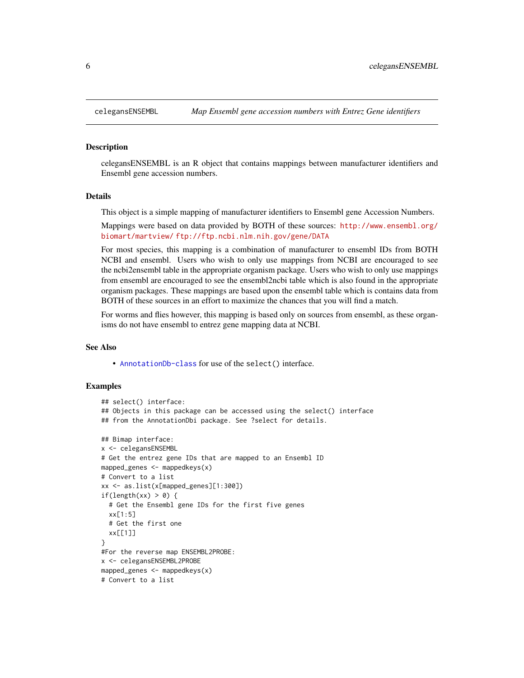celegansENSEMBL is an R object that contains mappings between manufacturer identifiers and Ensembl gene accession numbers.

#### Details

This object is a simple mapping of manufacturer identifiers to Ensembl gene Accession Numbers.

Mappings were based on data provided by BOTH of these sources: [http://www.ensembl.org/](http://www.ensembl.org/biomart/martview/) [biomart/martview/](http://www.ensembl.org/biomart/martview/) <ftp://ftp.ncbi.nlm.nih.gov/gene/DATA>

For most species, this mapping is a combination of manufacturer to ensembl IDs from BOTH NCBI and ensembl. Users who wish to only use mappings from NCBI are encouraged to see the ncbi2ensembl table in the appropriate organism package. Users who wish to only use mappings from ensembl are encouraged to see the ensembl2ncbi table which is also found in the appropriate organism packages. These mappings are based upon the ensembl table which is contains data from BOTH of these sources in an effort to maximize the chances that you will find a match.

For worms and flies however, this mapping is based only on sources from ensembl, as these organisms do not have ensembl to entrez gene mapping data at NCBI.

#### See Also

• [AnnotationDb-class](#page-0-0) for use of the select() interface.

```
## select() interface:
## Objects in this package can be accessed using the select() interface
## from the AnnotationDbi package. See ?select for details.
## Bimap interface:
x <- celegansENSEMBL
# Get the entrez gene IDs that are mapped to an Ensembl ID
mapped_genes \leq mappedkeys(x)
# Convert to a list
xx <- as.list(x[mapped_genes][1:300])
if(length(xx) > 0) {
 # Get the Ensembl gene IDs for the first five genes
 xx[1:5]
 # Get the first one
 xx[[1]]
}
#For the reverse map ENSEMBL2PROBE:
x <- celegansENSEMBL2PROBE
mapped_genes <- mappedkeys(x)
# Convert to a list
```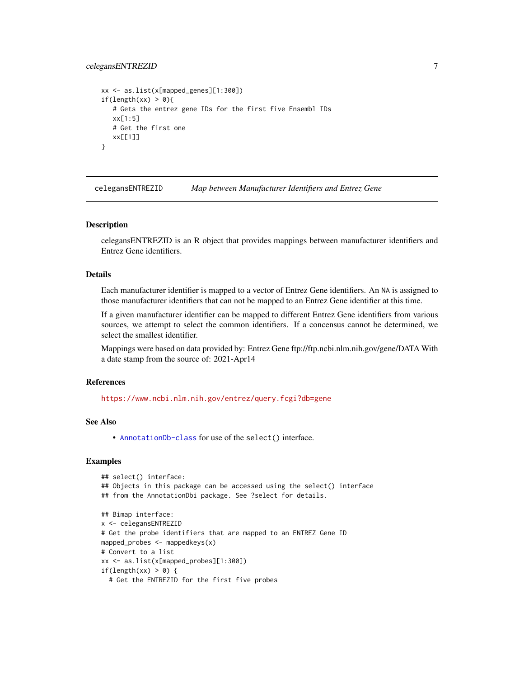## <span id="page-6-0"></span>celegansENTREZID 7

```
xx <- as.list(x[mapped_genes][1:300])
if(length(xx) > 0){
   # Gets the entrez gene IDs for the first five Ensembl IDs
  xx[1:5]
  # Get the first one
  xx[[1]]
}
```
celegansENTREZID *Map between Manufacturer Identifiers and Entrez Gene*

#### Description

celegansENTREZID is an R object that provides mappings between manufacturer identifiers and Entrez Gene identifiers.

## Details

Each manufacturer identifier is mapped to a vector of Entrez Gene identifiers. An NA is assigned to those manufacturer identifiers that can not be mapped to an Entrez Gene identifier at this time.

If a given manufacturer identifier can be mapped to different Entrez Gene identifiers from various sources, we attempt to select the common identifiers. If a concensus cannot be determined, we select the smallest identifier.

Mappings were based on data provided by: Entrez Gene ftp://ftp.ncbi.nlm.nih.gov/gene/DATA With a date stamp from the source of: 2021-Apr14

## References

<https://www.ncbi.nlm.nih.gov/entrez/query.fcgi?db=gene>

## See Also

• [AnnotationDb-class](#page-0-0) for use of the select() interface.

```
## select() interface:
## Objects in this package can be accessed using the select() interface
## from the AnnotationDbi package. See ?select for details.
## Bimap interface:
x <- celegansENTREZID
# Get the probe identifiers that are mapped to an ENTREZ Gene ID
mapped_probes <- mappedkeys(x)
# Convert to a list
xx <- as.list(x[mapped_probes][1:300])
if(length(xx) > 0) {
 # Get the ENTREZID for the first five probes
```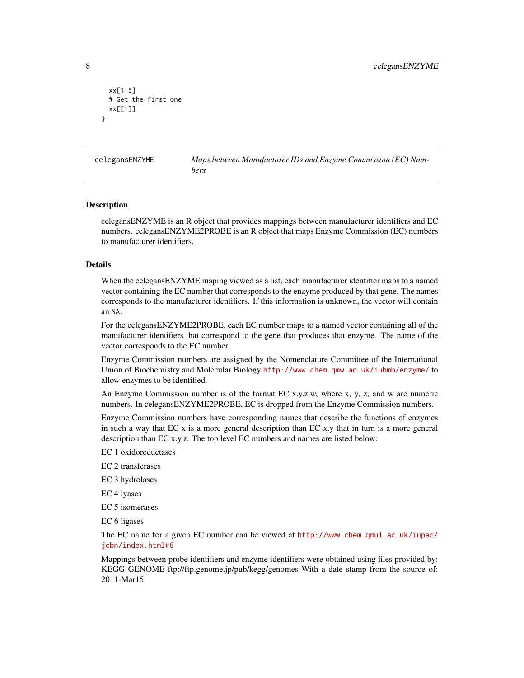```
xx[1:5]
 # Get the first one
 xx[[1]]
}
```
celegansENZYME *Maps between Manufacturer IDs and Enzyme Commission (EC) Numbers*

#### Description

celegansENZYME is an R object that provides mappings between manufacturer identifiers and EC numbers. celegansENZYME2PROBE is an R object that maps Enzyme Commission (EC) numbers to manufacturer identifiers.

#### Details

When the celegansENZYME maping viewed as a list, each manufacturer identifier maps to a named vector containing the EC number that corresponds to the enzyme produced by that gene. The names corresponds to the manufacturer identifiers. If this information is unknown, the vector will contain an NA.

For the celegansENZYME2PROBE, each EC number maps to a named vector containing all of the manufacturer identifiers that correspond to the gene that produces that enzyme. The name of the vector corresponds to the EC number.

Enzyme Commission numbers are assigned by the Nomenclature Committee of the International Union of Biochemistry and Molecular Biology <http://www.chem.qmw.ac.uk/iubmb/enzyme/> to allow enzymes to be identified.

An Enzyme Commission number is of the format EC x.y.z.w, where x, y, z, and w are numeric numbers. In celegansENZYME2PROBE, EC is dropped from the Enzyme Commission numbers.

Enzyme Commission numbers have corresponding names that describe the functions of enzymes in such a way that EC x is a more general description than EC x.y that in turn is a more general description than EC x.y.z. The top level EC numbers and names are listed below:

EC 1 oxidoreductases

EC 2 transferases

EC 3 hydrolases

EC 4 lyases

EC 5 isomerases

EC 6 ligases

The EC name for a given EC number can be viewed at [http://www.chem.qmul.ac.uk/iupac/](http://www.chem.qmul.ac.uk/iupac/jcbn/index.html#6) [jcbn/index.html#6](http://www.chem.qmul.ac.uk/iupac/jcbn/index.html#6)

Mappings between probe identifiers and enzyme identifiers were obtained using files provided by: KEGG GENOME ftp://ftp.genome.jp/pub/kegg/genomes With a date stamp from the source of: 2011-Mar15

<span id="page-7-0"></span>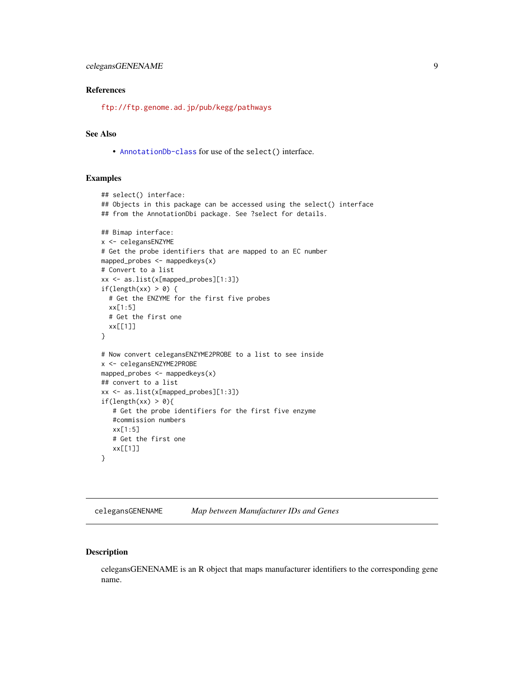## <span id="page-8-0"></span>References

<ftp://ftp.genome.ad.jp/pub/kegg/pathways>

## See Also

• [AnnotationDb-class](#page-0-0) for use of the select() interface.

## Examples

```
## select() interface:
## Objects in this package can be accessed using the select() interface
## from the AnnotationDbi package. See ?select for details.
## Bimap interface:
x <- celegansENZYME
# Get the probe identifiers that are mapped to an EC number
mapped_probes <- mappedkeys(x)
# Convert to a list
xx <- as.list(x[mapped_probes][1:3])
if(length(xx) > 0) {
  # Get the ENZYME for the first five probes
  xx[1:5]
  # Get the first one
  xx[[1]]
}
# Now convert celegansENZYME2PROBE to a list to see inside
x <- celegansENZYME2PROBE
mapped_probes \leq mappedkeys(x)
## convert to a list
xx <- as.list(x[mapped_probes][1:3])
if(length(xx) > 0){
   # Get the probe identifiers for the first five enzyme
   #commission numbers
   xx[1:5]
   # Get the first one
   xx[[1]]
}
```
celegansGENENAME *Map between Manufacturer IDs and Genes*

## Description

celegansGENENAME is an R object that maps manufacturer identifiers to the corresponding gene name.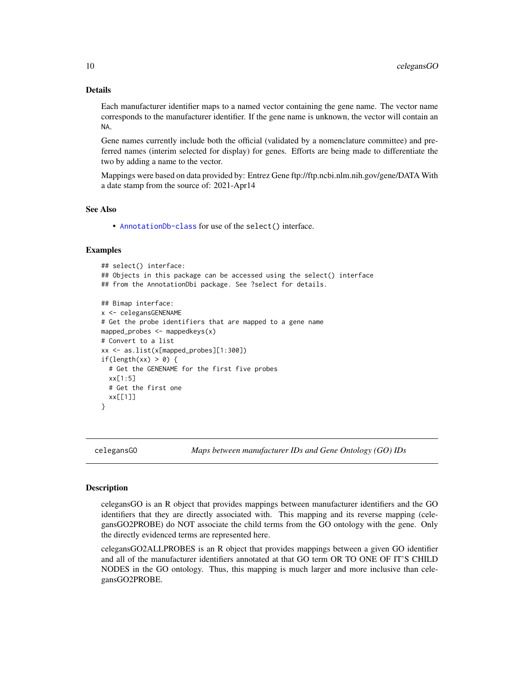## Details

Each manufacturer identifier maps to a named vector containing the gene name. The vector name corresponds to the manufacturer identifier. If the gene name is unknown, the vector will contain an NA.

Gene names currently include both the official (validated by a nomenclature committee) and preferred names (interim selected for display) for genes. Efforts are being made to differentiate the two by adding a name to the vector.

Mappings were based on data provided by: Entrez Gene ftp://ftp.ncbi.nlm.nih.gov/gene/DATA With a date stamp from the source of: 2021-Apr14

#### See Also

• [AnnotationDb-class](#page-0-0) for use of the select() interface.

#### Examples

```
## select() interface:
## Objects in this package can be accessed using the select() interface
## from the AnnotationDbi package. See ?select for details.
## Bimap interface:
x <- celegansGENENAME
# Get the probe identifiers that are mapped to a gene name
mapped_probes \leq mappedkeys(x)
# Convert to a list
xx <- as.list(x[mapped_probes][1:300])
if(length(xx) > 0) {
  # Get the GENENAME for the first five probes
  xx[1:5]
  # Get the first one
  xx[[1]]
}
```
celegansGO *Maps between manufacturer IDs and Gene Ontology (GO) IDs*

#### <span id="page-9-0"></span>**Description**

celegansGO is an R object that provides mappings between manufacturer identifiers and the GO identifiers that they are directly associated with. This mapping and its reverse mapping (celegansGO2PROBE) do NOT associate the child terms from the GO ontology with the gene. Only the directly evidenced terms are represented here.

celegansGO2ALLPROBES is an R object that provides mappings between a given GO identifier and all of the manufacturer identifiers annotated at that GO term OR TO ONE OF IT'S CHILD NODES in the GO ontology. Thus, this mapping is much larger and more inclusive than celegansGO2PROBE.

<span id="page-9-1"></span>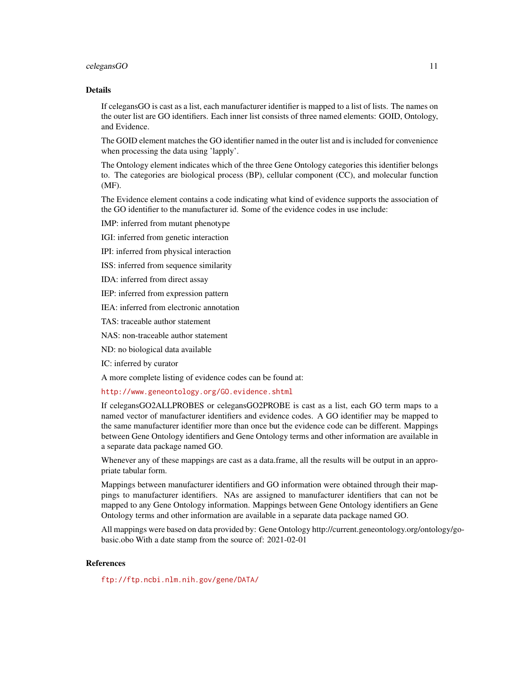#### celegansGO 11

## Details

If celegansGO is cast as a list, each manufacturer identifier is mapped to a list of lists. The names on the outer list are GO identifiers. Each inner list consists of three named elements: GOID, Ontology, and Evidence.

The GOID element matches the GO identifier named in the outer list and is included for convenience when processing the data using 'lapply'.

The Ontology element indicates which of the three Gene Ontology categories this identifier belongs to. The categories are biological process (BP), cellular component (CC), and molecular function (MF).

The Evidence element contains a code indicating what kind of evidence supports the association of the GO identifier to the manufacturer id. Some of the evidence codes in use include:

IMP: inferred from mutant phenotype

IGI: inferred from genetic interaction

IPI: inferred from physical interaction

ISS: inferred from sequence similarity

IDA: inferred from direct assay

IEP: inferred from expression pattern

IEA: inferred from electronic annotation

TAS: traceable author statement

NAS: non-traceable author statement

ND: no biological data available

IC: inferred by curator

A more complete listing of evidence codes can be found at:

<http://www.geneontology.org/GO.evidence.shtml>

If celegansGO2ALLPROBES or celegansGO2PROBE is cast as a list, each GO term maps to a named vector of manufacturer identifiers and evidence codes. A GO identifier may be mapped to the same manufacturer identifier more than once but the evidence code can be different. Mappings between Gene Ontology identifiers and Gene Ontology terms and other information are available in a separate data package named GO.

Whenever any of these mappings are cast as a data.frame, all the results will be output in an appropriate tabular form.

Mappings between manufacturer identifiers and GO information were obtained through their mappings to manufacturer identifiers. NAs are assigned to manufacturer identifiers that can not be mapped to any Gene Ontology information. Mappings between Gene Ontology identifiers an Gene Ontology terms and other information are available in a separate data package named GO.

All mappings were based on data provided by: Gene Ontology http://current.geneontology.org/ontology/gobasic.obo With a date stamp from the source of: 2021-02-01

## References

<ftp://ftp.ncbi.nlm.nih.gov/gene/DATA/>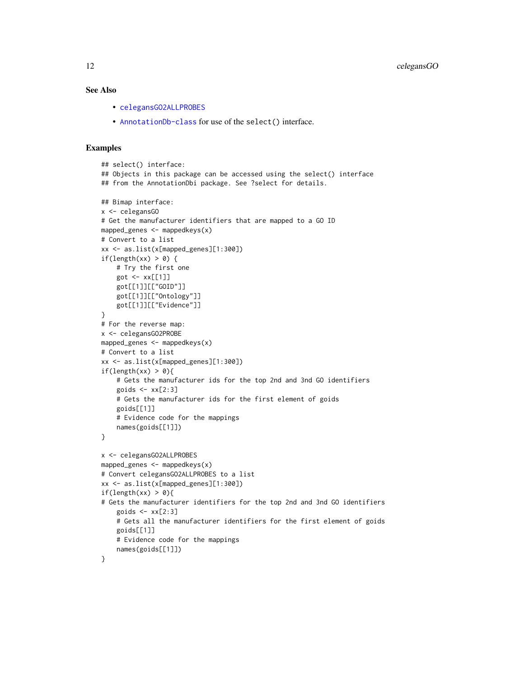## <span id="page-11-0"></span>See Also

- [celegansGO2ALLPROBES](#page-9-0)
- [AnnotationDb-class](#page-0-0) for use of the select() interface.

```
## select() interface:
## Objects in this package can be accessed using the select() interface
## from the AnnotationDbi package. See ?select for details.
## Bimap interface:
x <- celegansGO
# Get the manufacturer identifiers that are mapped to a GO ID
mapped_genes <- mappedkeys(x)
# Convert to a list
xx <- as.list(x[mapped_genes][1:300])
if(length(xx) > 0) {
    # Try the first one
   got <- xx[[1]]
    got[[1]][["GOID"]]
    got[[1]][["Ontology"]]
    got[[1]][["Evidence"]]
}
# For the reverse map:
x <- celegansGO2PROBE
mapped_genes <- mappedkeys(x)
# Convert to a list
xx <- as.list(x[mapped_genes][1:300])
if(length(xx) > 0){
    # Gets the manufacturer ids for the top 2nd and 3nd GO identifiers
    goids \leq -x \times [2:3]# Gets the manufacturer ids for the first element of goids
    goids[[1]]
    # Evidence code for the mappings
    names(goids[[1]])
}
x <- celegansGO2ALLPROBES
mapped_genes <- mappedkeys(x)
# Convert celegansGO2ALLPROBES to a list
xx <- as.list(x[mapped_genes][1:300])
if(length(xx) > 0){
# Gets the manufacturer identifiers for the top 2nd and 3nd GO identifiers
    goids \leq xx[2:3]# Gets all the manufacturer identifiers for the first element of goids
    goids[[1]]
    # Evidence code for the mappings
    names(goids[[1]])
}
```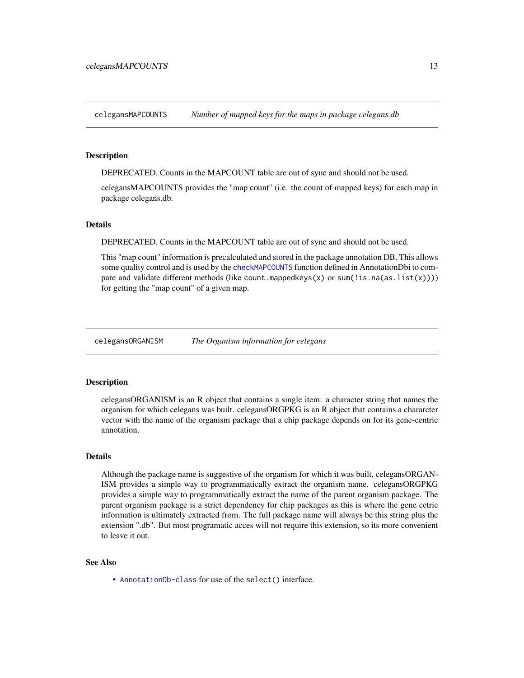<span id="page-12-0"></span>celegansMAPCOUNTS *Number of mapped keys for the maps in package celegans.db*

## **Description**

DEPRECATED. Counts in the MAPCOUNT table are out of sync and should not be used.

celegansMAPCOUNTS provides the "map count" (i.e. the count of mapped keys) for each map in package celegans.db.

#### **Details**

DEPRECATED. Counts in the MAPCOUNT table are out of sync and should not be used.

This "map count" information is precalculated and stored in the package annotation DB. This allows some quality control and is used by the [checkMAPCOUNTS](#page-0-0) function defined in AnnotationDbi to compare and validate different methods (like count.mappedkeys $(x)$  or sum(!is.na(as.list(x)))) for getting the "map count" of a given map.

celegansORGANISM *The Organism information for celegans*

#### Description

celegansORGANISM is an R object that contains a single item: a character string that names the organism for which celegans was built. celegansORGPKG is an R object that contains a chararcter vector with the name of the organism package that a chip package depends on for its gene-centric annotation.

## Details

Although the package name is suggestive of the organism for which it was built, celegansORGAN-ISM provides a simple way to programmatically extract the organism name. celegansORGPKG provides a simple way to programmatically extract the name of the parent organism package. The parent organism package is a strict dependency for chip packages as this is where the gene cetric information is ultimately extracted from. The full package name will always be this string plus the extension ".db". But most programatic acces will not require this extension, so its more convenient to leave it out.

#### See Also

• [AnnotationDb-class](#page-0-0) for use of the select() interface.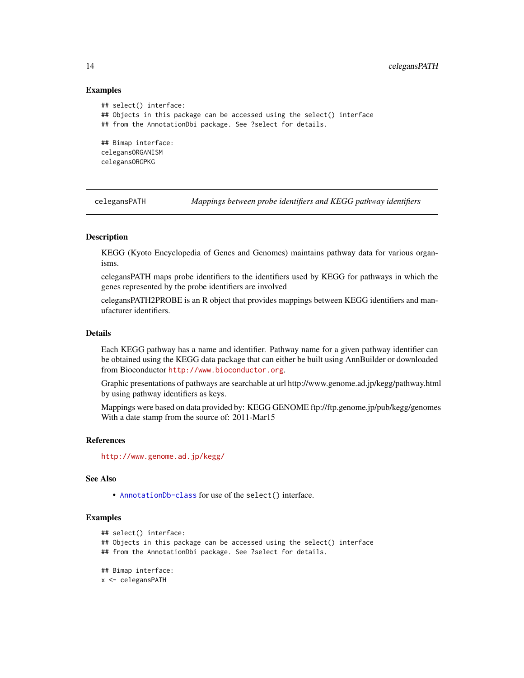#### Examples

```
## select() interface:
## Objects in this package can be accessed using the select() interface
## from the AnnotationDbi package. See ?select for details.
## Bimap interface:
celegansORGANISM
celegansORGPKG
```
celegansPATH *Mappings between probe identifiers and KEGG pathway identifiers*

## Description

KEGG (Kyoto Encyclopedia of Genes and Genomes) maintains pathway data for various organisms.

celegansPATH maps probe identifiers to the identifiers used by KEGG for pathways in which the genes represented by the probe identifiers are involved

celegansPATH2PROBE is an R object that provides mappings between KEGG identifiers and manufacturer identifiers.

## Details

Each KEGG pathway has a name and identifier. Pathway name for a given pathway identifier can be obtained using the KEGG data package that can either be built using AnnBuilder or downloaded from Bioconductor <http://www.bioconductor.org>.

Graphic presentations of pathways are searchable at url http://www.genome.ad.jp/kegg/pathway.html by using pathway identifiers as keys.

Mappings were based on data provided by: KEGG GENOME ftp://ftp.genome.jp/pub/kegg/genomes With a date stamp from the source of: 2011-Mar15

#### References

<http://www.genome.ad.jp/kegg/>

## See Also

• [AnnotationDb-class](#page-0-0) for use of the select() interface.

```
## select() interface:
## Objects in this package can be accessed using the select() interface
## from the AnnotationDbi package. See ?select for details.
## Bimap interface:
x <- celegansPATH
```
<span id="page-13-0"></span>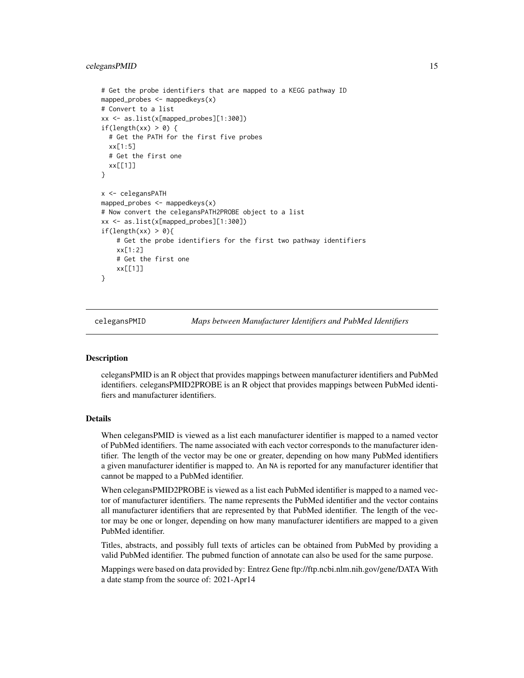#### <span id="page-14-0"></span>celegansPMID 15

```
# Get the probe identifiers that are mapped to a KEGG pathway ID
mapped_probes <- mappedkeys(x)
# Convert to a list
xx <- as.list(x[mapped_probes][1:300])
if(length(xx) > 0) {
 # Get the PATH for the first five probes
 xx[1:5]
 # Get the first one
 xx[[1]]
}
x <- celegansPATH
mapped_probes <- mappedkeys(x)
# Now convert the celegansPATH2PROBE object to a list
xx <- as.list(x[mapped_probes][1:300])
if(length(xx) > 0){
    # Get the probe identifiers for the first two pathway identifiers
   xx[1:2]
    # Get the first one
    xx[[1]]
}
```
celegansPMID *Maps between Manufacturer Identifiers and PubMed Identifiers*

## Description

celegansPMID is an R object that provides mappings between manufacturer identifiers and PubMed identifiers. celegansPMID2PROBE is an R object that provides mappings between PubMed identifiers and manufacturer identifiers.

## Details

When celegansPMID is viewed as a list each manufacturer identifier is mapped to a named vector of PubMed identifiers. The name associated with each vector corresponds to the manufacturer identifier. The length of the vector may be one or greater, depending on how many PubMed identifiers a given manufacturer identifier is mapped to. An NA is reported for any manufacturer identifier that cannot be mapped to a PubMed identifier.

When celegansPMID2PROBE is viewed as a list each PubMed identifier is mapped to a named vector of manufacturer identifiers. The name represents the PubMed identifier and the vector contains all manufacturer identifiers that are represented by that PubMed identifier. The length of the vector may be one or longer, depending on how many manufacturer identifiers are mapped to a given PubMed identifier.

Titles, abstracts, and possibly full texts of articles can be obtained from PubMed by providing a valid PubMed identifier. The pubmed function of annotate can also be used for the same purpose.

Mappings were based on data provided by: Entrez Gene ftp://ftp.ncbi.nlm.nih.gov/gene/DATA With a date stamp from the source of: 2021-Apr14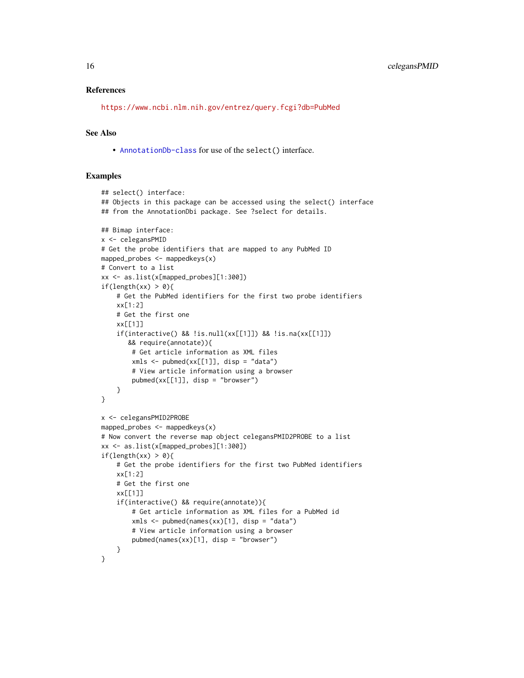#### References

<https://www.ncbi.nlm.nih.gov/entrez/query.fcgi?db=PubMed>

#### See Also

• [AnnotationDb-class](#page-0-0) for use of the select() interface.

```
## select() interface:
## Objects in this package can be accessed using the select() interface
## from the AnnotationDbi package. See ?select for details.
## Bimap interface:
x <- celegansPMID
# Get the probe identifiers that are mapped to any PubMed ID
mapped_probes \leq mappedkeys(x)
# Convert to a list
xx <- as.list(x[mapped_probes][1:300])
if(length(xx) > 0){
    # Get the PubMed identifiers for the first two probe identifiers
    xx[1:2]
    # Get the first one
    xx[[1]]
    if(interactive() && !is.null(xx[[1]]) && !is.na(xx[[1]])
       && require(annotate)){
        # Get article information as XML files
        xmls < -pubmed(xx[[1]], disp = "data")# View article information using a browser
        pubmed(xx[[1]], disp = "browser")
   }
}
x <- celegansPMID2PROBE
mapped_probes \leq mappedkeys(x)
# Now convert the reverse map object celegansPMID2PROBE to a list
xx <- as.list(x[mapped_probes][1:300])
if(length(xx) > 0){
    # Get the probe identifiers for the first two PubMed identifiers
    xx[1:2]
    # Get the first one
    xx[[1]]
    if(interactive() && require(annotate)){
        # Get article information as XML files for a PubMed id
        xmls < -pubmed(names(xx)[1], disp = "data")# View article information using a browser
        pubmed(names(xx)[1], disp = "browser")
    }
}
```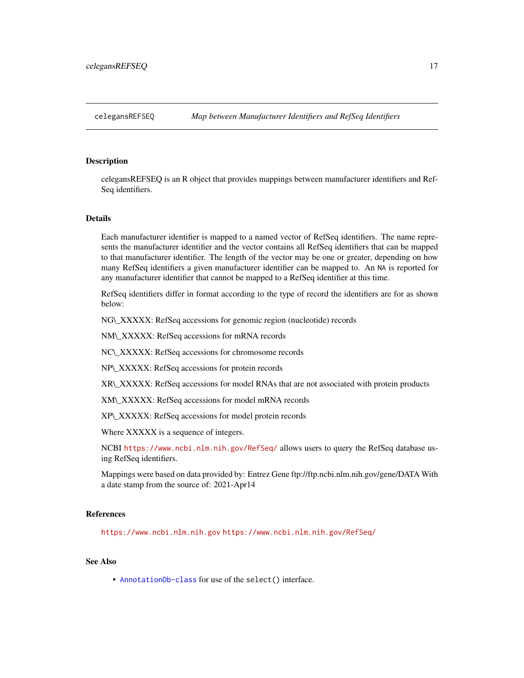<span id="page-16-0"></span>celegansREFSEQ is an R object that provides mappings between manufacturer identifiers and Ref-Seq identifiers.

#### Details

Each manufacturer identifier is mapped to a named vector of RefSeq identifiers. The name represents the manufacturer identifier and the vector contains all RefSeq identifiers that can be mapped to that manufacturer identifier. The length of the vector may be one or greater, depending on how many RefSeq identifiers a given manufacturer identifier can be mapped to. An NA is reported for any manufacturer identifier that cannot be mapped to a RefSeq identifier at this time.

RefSeq identifiers differ in format according to the type of record the identifiers are for as shown below:

NG\\_XXXXX: RefSeq accessions for genomic region (nucleotide) records

NM\\_XXXXX: RefSeq accessions for mRNA records

NC\\_XXXXX: RefSeq accessions for chromosome records

NP\\_XXXXX: RefSeq accessions for protein records

XR\\_XXXXX: RefSeq accessions for model RNAs that are not associated with protein products

XM\\_XXXXX: RefSeq accessions for model mRNA records

XP\\_XXXXX: RefSeq accessions for model protein records

Where XXXXX is a sequence of integers.

NCBI <https://www.ncbi.nlm.nih.gov/RefSeq/> allows users to query the RefSeq database using RefSeq identifiers.

Mappings were based on data provided by: Entrez Gene ftp://ftp.ncbi.nlm.nih.gov/gene/DATA With a date stamp from the source of: 2021-Apr14

## References

<https://www.ncbi.nlm.nih.gov> <https://www.ncbi.nlm.nih.gov/RefSeq/>

## See Also

• [AnnotationDb-class](#page-0-0) for use of the select() interface.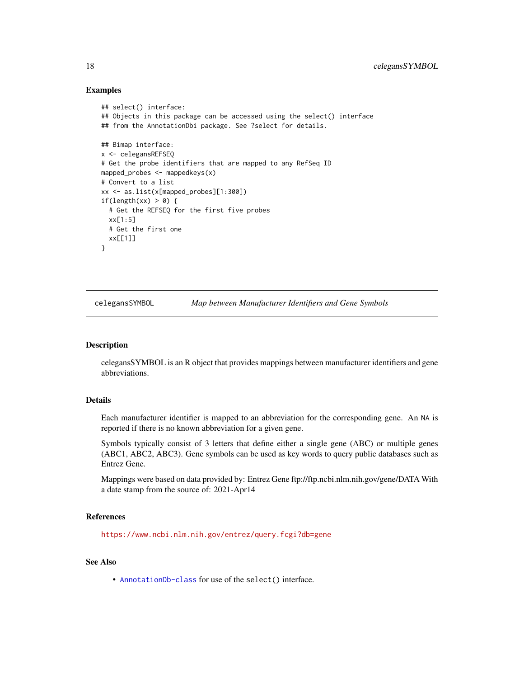#### Examples

```
## select() interface:
## Objects in this package can be accessed using the select() interface
## from the AnnotationDbi package. See ?select for details.
## Bimap interface:
x <- celegansREFSEQ
# Get the probe identifiers that are mapped to any RefSeq ID
mapped_probes <- mappedkeys(x)
# Convert to a list
xx <- as.list(x[mapped_probes][1:300])
if(length(xx) > 0) {
  # Get the REFSEQ for the first five probes
  xx[1:5]
  # Get the first one
  xx[[1]]
}
```
celegansSYMBOL *Map between Manufacturer Identifiers and Gene Symbols*

#### Description

celegansSYMBOL is an R object that provides mappings between manufacturer identifiers and gene abbreviations.

## Details

Each manufacturer identifier is mapped to an abbreviation for the corresponding gene. An NA is reported if there is no known abbreviation for a given gene.

Symbols typically consist of 3 letters that define either a single gene (ABC) or multiple genes (ABC1, ABC2, ABC3). Gene symbols can be used as key words to query public databases such as Entrez Gene.

Mappings were based on data provided by: Entrez Gene ftp://ftp.ncbi.nlm.nih.gov/gene/DATA With a date stamp from the source of: 2021-Apr14

#### References

<https://www.ncbi.nlm.nih.gov/entrez/query.fcgi?db=gene>

#### See Also

• [AnnotationDb-class](#page-0-0) for use of the select() interface.

<span id="page-17-0"></span>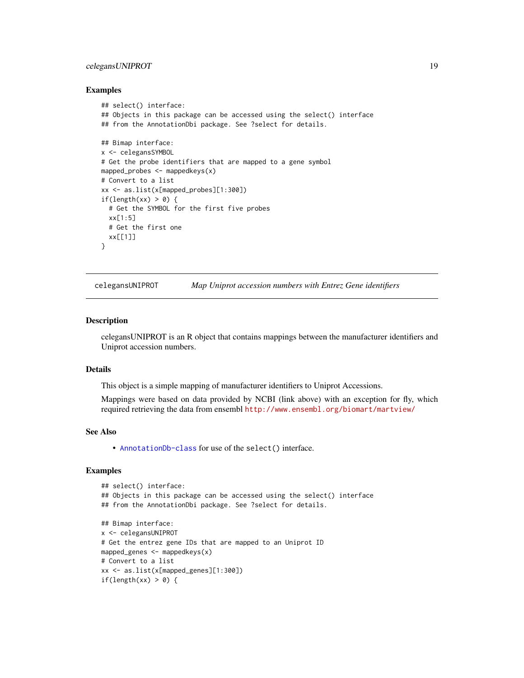## <span id="page-18-0"></span>celegansUNIPROT 19

#### Examples

```
## select() interface:
## Objects in this package can be accessed using the select() interface
## from the AnnotationDbi package. See ?select for details.
## Bimap interface:
x <- celegansSYMBOL
# Get the probe identifiers that are mapped to a gene symbol
mapped_probes <- mappedkeys(x)
# Convert to a list
xx <- as.list(x[mapped_probes][1:300])
if(length(xx) > 0) {
  # Get the SYMBOL for the first five probes
  xx[1:5]
  # Get the first one
  xx[[1]]
}
```
celegansUNIPROT *Map Uniprot accession numbers with Entrez Gene identifiers*

#### Description

celegansUNIPROT is an R object that contains mappings between the manufacturer identifiers and Uniprot accession numbers.

## Details

This object is a simple mapping of manufacturer identifiers to Uniprot Accessions.

Mappings were based on data provided by NCBI (link above) with an exception for fly, which required retrieving the data from ensembl <http://www.ensembl.org/biomart/martview/>

#### See Also

• [AnnotationDb-class](#page-0-0) for use of the select() interface.

```
## select() interface:
## Objects in this package can be accessed using the select() interface
## from the AnnotationDbi package. See ?select for details.
## Bimap interface:
x <- celegansUNIPROT
# Get the entrez gene IDs that are mapped to an Uniprot ID
mapped_genes <- mappedkeys(x)
# Convert to a list
xx <- as.list(x[mapped_genes][1:300])
if(length(xx) > 0) {
```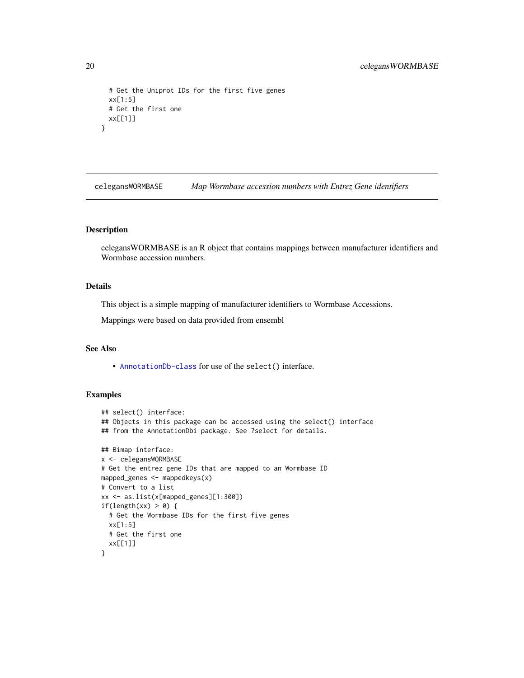```
# Get the Uniprot IDs for the first five genes
 xx[1:5]
 # Get the first one
 xx[[1]]
}
```
celegansWORMBASE *Map Wormbase accession numbers with Entrez Gene identifiers*

#### Description

celegansWORMBASE is an R object that contains mappings between manufacturer identifiers and Wormbase accession numbers.

## Details

This object is a simple mapping of manufacturer identifiers to Wormbase Accessions.

Mappings were based on data provided from ensembl

## See Also

• [AnnotationDb-class](#page-0-0) for use of the select() interface.

```
## select() interface:
## Objects in this package can be accessed using the select() interface
## from the AnnotationDbi package. See ?select for details.
## Bimap interface:
x <- celegansWORMBASE
# Get the entrez gene IDs that are mapped to an Wormbase ID
mapped_genes <- mappedkeys(x)
# Convert to a list
xx <- as.list(x[mapped_genes][1:300])
if(length(xx) > 0) {
  # Get the Wormbase IDs for the first five genes
  xx[1:5]
  # Get the first one
  xx[[1]]
}
```
<span id="page-19-0"></span>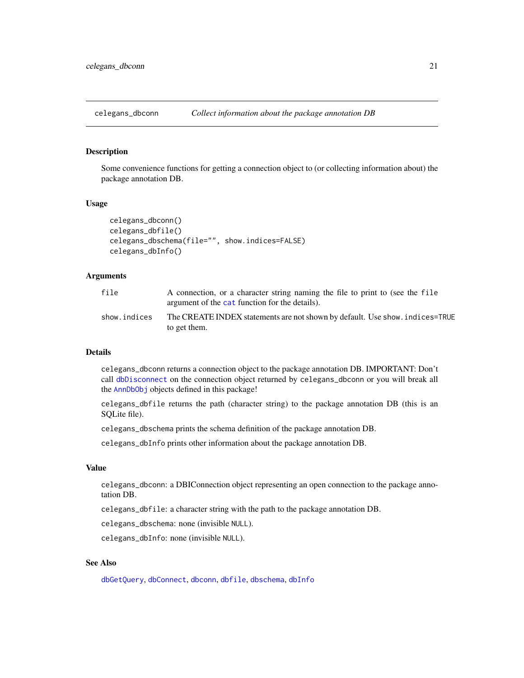<span id="page-20-0"></span>

Some convenience functions for getting a connection object to (or collecting information about) the package annotation DB.

#### Usage

```
celegans_dbconn()
celegans_dbfile()
celegans_dbschema(file="", show.indices=FALSE)
celegans_dbInfo()
```
## Arguments

| file         | A connection, or a character string naming the file to print to (see the file<br>argument of the cat function for the details). |
|--------------|---------------------------------------------------------------------------------------------------------------------------------|
| show.indices | The CREATE INDEX statements are not shown by default. Use show, indices=TRUE<br>to get them.                                    |

## Details

celegans\_dbconn returns a connection object to the package annotation DB. IMPORTANT: Don't call [dbDisconnect](#page-0-0) on the connection object returned by celegans\_dbconn or you will break all the [AnnDbObj](#page-0-0) objects defined in this package!

celegans\_dbfile returns the path (character string) to the package annotation DB (this is an SQLite file).

celegans\_dbschema prints the schema definition of the package annotation DB.

celegans\_dbInfo prints other information about the package annotation DB.

#### Value

celegans\_dbconn: a DBIConnection object representing an open connection to the package annotation DB.

celegans\_dbfile: a character string with the path to the package annotation DB.

celegans\_dbschema: none (invisible NULL).

celegans\_dbInfo: none (invisible NULL).

## See Also

[dbGetQuery](#page-0-0), [dbConnect](#page-0-0), [dbconn](#page-0-0), [dbfile](#page-0-0), [dbschema](#page-0-0), [dbInfo](#page-0-0)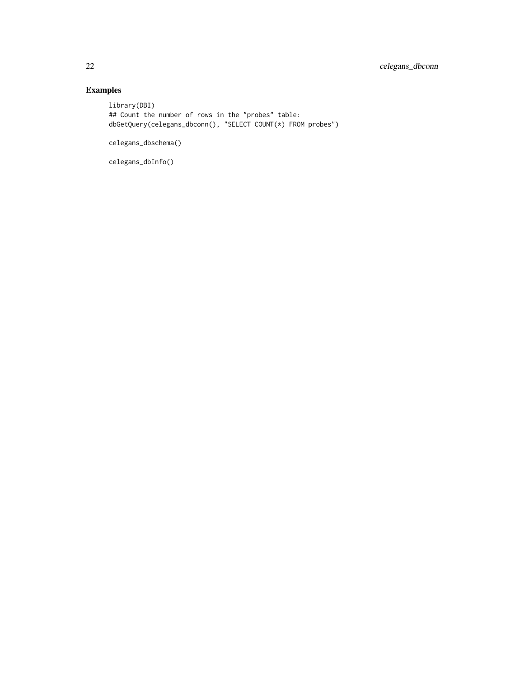## Examples

library(DBI) ## Count the number of rows in the "probes" table: dbGetQuery(celegans\_dbconn(), "SELECT COUNT(\*) FROM probes")

celegans\_dbschema()

celegans\_dbInfo()